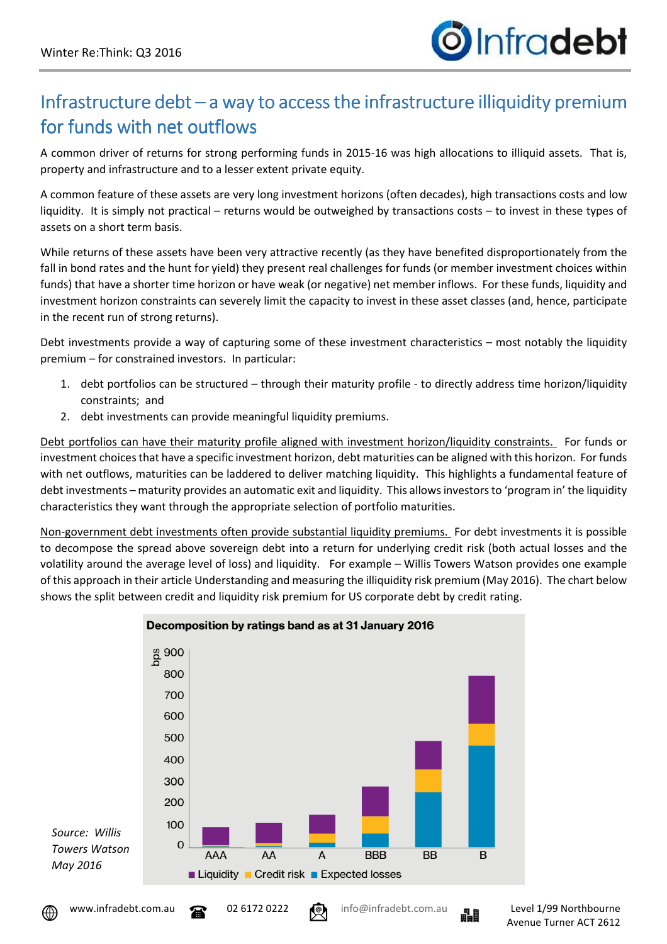

## Infrastructure debt – a way to access the infrastructure illiquidity premium for funds with net outflows

A common driver of returns for strong performing funds in 2015-16 was high allocations to illiquid assets. That is, property and infrastructure and to a lesser extent private equity.

A common feature of these assets are very long investment horizons (often decades), high transactions costs and low liquidity. It is simply not practical – returns would be outweighed by transactions costs – to invest in these types of assets on a short term basis.

While returns of these assets have been very attractive recently (as they have benefited disproportionately from the fall in bond rates and the hunt for yield) they present real challenges for funds (or member investment choices within funds) that have a shorter time horizon or have weak (or negative) net member inflows. For these funds, liquidity and investment horizon constraints can severely limit the capacity to invest in these asset classes (and, hence, participate in the recent run of strong returns).

Debt investments provide a way of capturing some of these investment characteristics – most notably the liquidity premium – for constrained investors. In particular:

- 1. debt portfolios can be structured through their maturity profile to directly address time horizon/liquidity constraints; and
- 2. debt investments can provide meaningful liquidity premiums.

Debt portfolios can have their maturity profile aligned with investment horizon/liquidity constraints. For funds or investment choices that have a specific investment horizon, debt maturities can be aligned with this horizon. For funds with net outflows, maturities can be laddered to deliver matching liquidity. This highlights a fundamental feature of debt investments – maturity provides an automatic exit and liquidity. This allows investors to 'program in' the liquidity characteristics they want through the appropriate selection of portfolio maturities.

Non-government debt investments often provide substantial liquidity premiums. For debt investments it is possible to decompose the spread above sovereign debt into a return for underlying credit risk (both actual losses and the volatility around the average level of loss) and liquidity. For example – Willis Towers Watson provides one example of this approach in their article Understanding and measuring the illiquidity risk premium (May 2016). The chart below shows the split between credit and liquidity risk premium for US corporate debt by credit rating.



## Decomposition by ratings band as at 31 January 2016